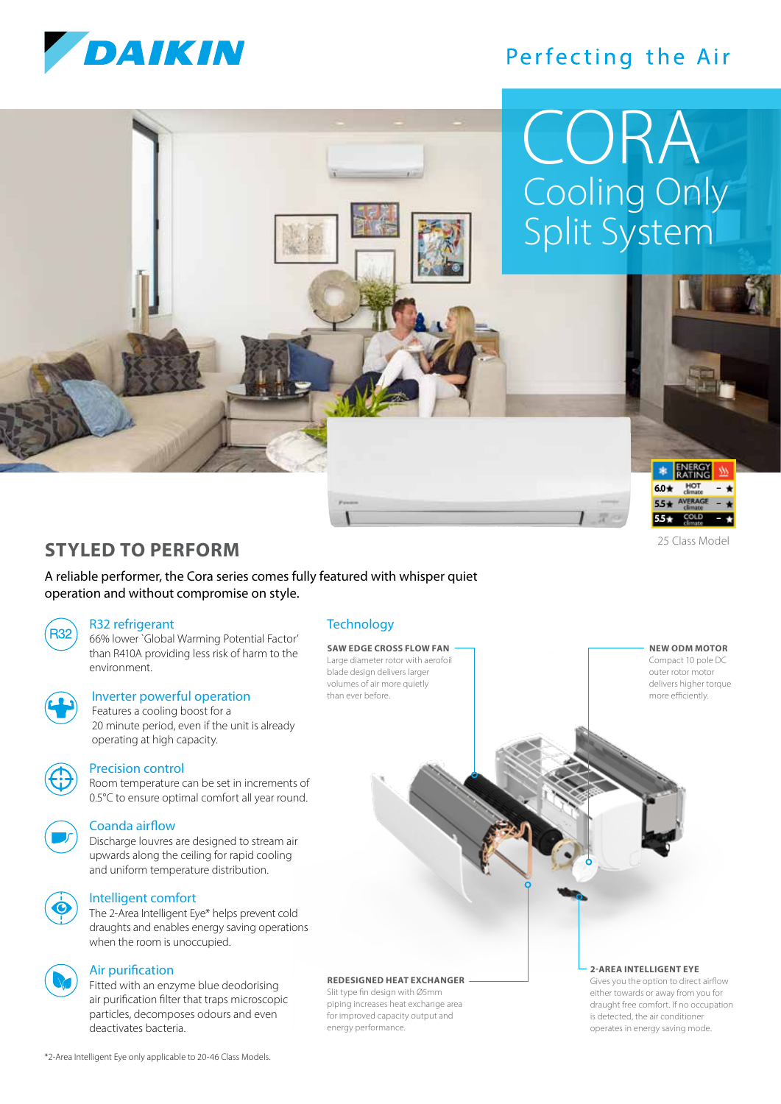

## Perfecting the Air

# Cooling Only Split System CORA



25 Class Model

**NEW ODM MOTOR** Compact 10 pole DC outer rotor motor delivers higher torque more efficiently.

## **STYLED TO PERFORM**

A reliable performer, the Cora series comes fully featured with whisper quiet operation and without compromise on style.

#### R32 refrigerant

R32) 66% lower `Global Warming Potential Factor' than R410A providing less risk of harm to the environment.



### Inverter powerful operation

 Features a cooling boost for a 20 minute period, even if the unit is already operating at high capacity.



#### Precision control

 Room temperature can be set in increments of 0.5°C to ensure optimal comfort all year round.



#### Coanda airflow

 Discharge louvres are designed to stream air upwards along the ceiling for rapid cooling and uniform temperature distribution.

### Intelligent comfort

 The 2-Area Intelligent Eye\* helps prevent cold draughts and enables energy saving operations when the room is unoccupied.



#### Air purification

 Fitted with an enzyme blue deodorising air purification filter that traps microscopic particles, decomposes odours and even deactivates bacteria.

#### **Technology**

**SAW EDGE CROSS FLOW FAN** Large diameter rotor with aerofoil blade design delivers larger volumes of air more quietly than ever before.

#### **REDESIGNED HEAT EXCHANGER**

Slit type fin design with Ø5mm piping increases heat exchange area for improved capacity output and energy performance.

#### **2-AREA INTELLIGENT EYE**

Gives you the option to direct airflow either towards or away from you for draught free comfort. If no occupation is detected, the air conditioner operates in energy saving mode.